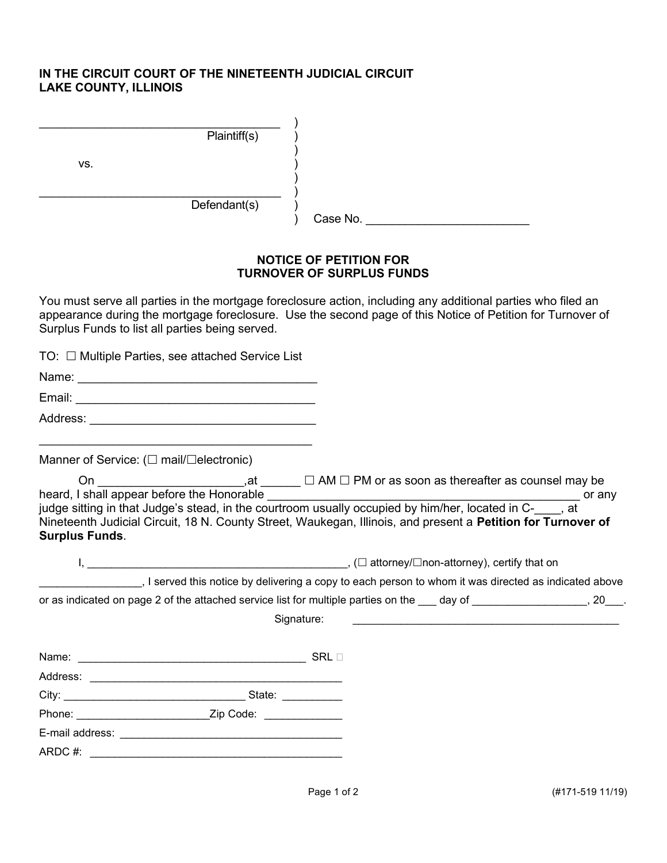## IN THE CIRCUIT COURT OF THE NINETEENTH JUDICIAL CIRCUIT LAKE COUNTY, ILLINOIS

|     | Plaintiff(s) |          |
|-----|--------------|----------|
| VS. |              |          |
|     | Defendant(s) | Case No. |

## NOTICE OF PETITION FOR TURNOVER OF SURPLUS FUNDS

You must serve all parties in the mortgage foreclosure action, including any additional parties who filed an appearance during the mortgage foreclosure. Use the second page of this Notice of Petition for Turnover of Surplus Funds to list all parties being served.

|                       | $TO: \Box$ Multiple Parties, see attached Service List                                                                                                                                                                                                                                                                |  |
|-----------------------|-----------------------------------------------------------------------------------------------------------------------------------------------------------------------------------------------------------------------------------------------------------------------------------------------------------------------|--|
|                       |                                                                                                                                                                                                                                                                                                                       |  |
|                       |                                                                                                                                                                                                                                                                                                                       |  |
|                       |                                                                                                                                                                                                                                                                                                                       |  |
|                       | Manner of Service: (□ mail/□electronic)                                                                                                                                                                                                                                                                               |  |
| <b>Surplus Funds.</b> | heard, I shall appear before the Honorable <u>Communistiese of the product</u> or any judge sitting in that Judge's stead, in the courtroom usually occupied by him/her, located in C-____, at or any<br>Nineteenth Judicial Circuit, 18 N. County Street, Waukegan, Illinois, and present a Petition for Turnover of |  |
|                       | I served this notice by delivering a copy to each person to whom it was directed as indicated above (1990)                                                                                                                                                                                                            |  |
|                       | or as indicated on page 2 of the attached service list for multiple parties on the sample of sample and page 2.                                                                                                                                                                                                       |  |
|                       | Signature:                                                                                                                                                                                                                                                                                                            |  |
|                       |                                                                                                                                                                                                                                                                                                                       |  |
|                       |                                                                                                                                                                                                                                                                                                                       |  |
|                       |                                                                                                                                                                                                                                                                                                                       |  |
|                       | Phone: Zip Code:                                                                                                                                                                                                                                                                                                      |  |
|                       |                                                                                                                                                                                                                                                                                                                       |  |

ARDC #: \_\_\_\_\_\_\_\_\_\_\_\_\_\_\_\_\_\_\_\_\_\_\_\_\_\_\_\_\_\_\_\_\_\_\_\_\_\_\_\_\_\_